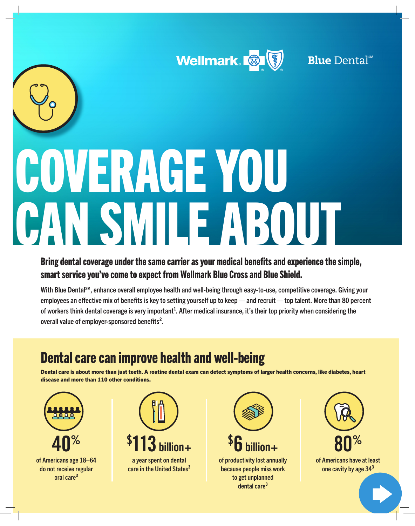



# COVERAGE YOU SMILE ABOUT

Bring dental coverage under the same carrier as your medical benefits and experience the simple, smart service you've come to expect from Wellmark Blue Cross and Blue Shield.

With Blue Dental<sup>sM</sup>, enhance overall employee health and well-being through easy-to-use, competitive coverage. Giving your employees an effective mix of benefits is key to setting yourself up to keep — and recruit — top talent. More than 80 percent of workers think dental coverage is very important<sup>1</sup>. After medical insurance, it's their top priority when considering the overall value of employer-sponsored benefits<sup>2</sup>.

# Dental care can improve health and well-being

Dental care is about more than just teeth. A routine dental exam can detect symptoms of larger health concerns, like diabetes, heart disease and more than 110 other conditions.





care in the United States<sup>[3](#page-1-0)</sup>



of productivity lost annually because people miss work to get unplanned dental care<sup>3</sup>



of Americans have at least one cavity by age 34<sup>3</sup>